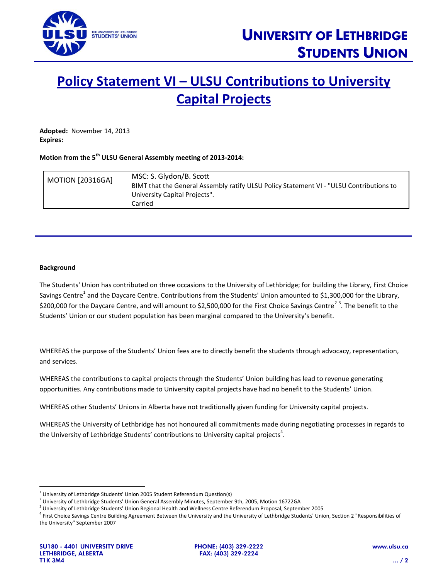

## **Policy Statement VI – ULSU Contributions to University Capital Projects**

**Adopted:** November 14, 2013 **Expires:**

## **Motion from the 5 th ULSU General Assembly meeting of 2013-2014:**

| <b>MOTION [20316GA]</b> | MSC: S. Glydon/B. Scott<br>BIMT that the General Assembly ratify ULSU Policy Statement VI - "ULSU Contributions to |
|-------------------------|--------------------------------------------------------------------------------------------------------------------|
|                         | University Capital Projects".                                                                                      |
|                         | Carried                                                                                                            |

## **Background**

The Students' Union has contributed on three occasions to the University of Lethbridge; for building the Library, First Choice Savings Centre<sup>1</sup> and the Daycare Centre. Contributions from the Students' Union amounted to \$1,300,000 for the Library, \$200,000 for the Daycare Centre, and will amount to \$2,500,000 for the First Choice Savings Centre<sup>23</sup>. The benefit to the Students' Union or our student population has been marginal compared to the University's benefit.

WHEREAS the purpose of the Students' Union fees are to directly benefit the students through advocacy, representation, and services.

WHEREAS the contributions to capital projects through the Students' Union building has lead to revenue generating opportunities. Any contributions made to University capital projects have had no benefit to the Students' Union.

WHEREAS other Students' Unions in Alberta have not traditionally given funding for University capital projects.

WHEREAS the University of Lethbridge has not honoured all commitments made during negotiating processes in regards to the University of Lethbridge Students' contributions to University capital projects<sup>4</sup>.

 $\overline{a}$ 

 $^1$  University of Lethbridge Students' Union 2005 Student Referendum Question(s)

<sup>2</sup> University of Lethbridge Students' Union General Assembly Minutes, September 9th, 2005, Motion 16722GA

<sup>3</sup> University of Lethbridge Students' Union Regional Health and Wellness Centre Referendum Proposal, September 2005

<sup>&</sup>lt;sup>4</sup> First Choice Savings Centre Building Agreement Between the University and the University of Lethbridge Students' Union, Section 2 "Responsibilities of the University" September 2007